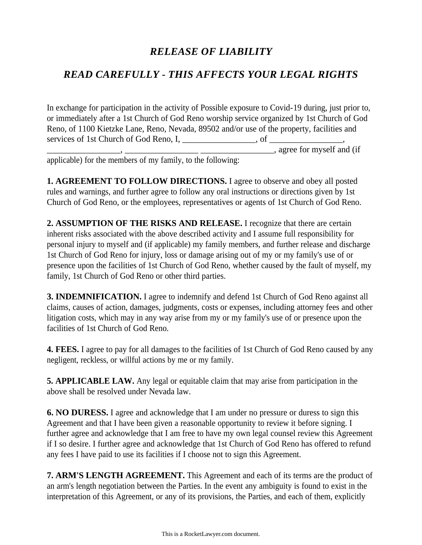## *RELEASE OF LIABILITY*

## *READ CAREFULLY - THIS AFFECTS YOUR LEGAL RIGHTS*

In exchange for participation in the activity of Possible exposure to Covid-19 during, just prior to, or immediately after a 1st Church of God Reno worship service organized by 1st Church of God Reno, of 1100 Kietzke Lane, Reno, Nevada, 89502 and/or use of the property, facilities and services of 1st Church of God Reno, I, \_\_\_\_\_\_\_\_\_\_\_\_\_\_\_\_\_, of \_\_\_\_\_\_\_\_\_\_\_\_\_\_\_\_\_,  $\overline{\phantom{a}}$ , agree for myself and (if

applicable) for the members of my family, to the following:

**1. AGREEMENT TO FOLLOW DIRECTIONS.** I agree to observe and obey all posted rules and warnings, and further agree to follow any oral instructions or directions given by 1st Church of God Reno, or the employees, representatives or agents of 1st Church of God Reno.

**2. ASSUMPTION OF THE RISKS AND RELEASE.** I recognize that there are certain inherent risks associated with the above described activity and I assume full responsibility for personal injury to myself and (if applicable) my family members, and further release and discharge 1st Church of God Reno for injury, loss or damage arising out of my or my family's use of or presence upon the facilities of 1st Church of God Reno, whether caused by the fault of myself, my family, 1st Church of God Reno or other third parties.

**3. INDEMNIFICATION.** I agree to indemnify and defend 1st Church of God Reno against all claims, causes of action, damages, judgments, costs or expenses, including attorney fees and other litigation costs, which may in any way arise from my or my family's use of or presence upon the facilities of 1st Church of God Reno.

**4. FEES.** I agree to pay for all damages to the facilities of 1st Church of God Reno caused by any negligent, reckless, or willful actions by me or my family.

**5. APPLICABLE LAW.** Any legal or equitable claim that may arise from participation in the above shall be resolved under Nevada law.

**6. NO DURESS.** I agree and acknowledge that I am under no pressure or duress to sign this Agreement and that I have been given a reasonable opportunity to review it before signing. I further agree and acknowledge that I am free to have my own legal counsel review this Agreement if I so desire. I further agree and acknowledge that 1st Church of God Reno has offered to refund any fees I have paid to use its facilities if I choose not to sign this Agreement.

**7. ARM'S LENGTH AGREEMENT.** This Agreement and each of its terms are the product of an arm's length negotiation between the Parties. In the event any ambiguity is found to exist in the interpretation of this Agreement, or any of its provisions, the Parties, and each of them, explicitly